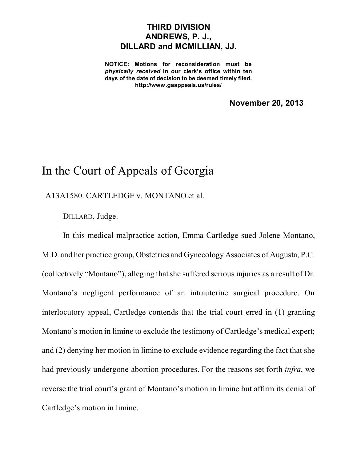## **THIRD DIVISION ANDREWS, P. J., DILLARD and MCMILLIAN, JJ.**

**NOTICE: Motions for reconsideration must be** *physically received* **in our clerk's office within ten days of the date of decision to be deemed timely filed. http://www.gaappeals.us/rules/**

**November 20, 2013**

## In the Court of Appeals of Georgia

A13A1580. CARTLEDGE v. MONTANO et al.

DILLARD, Judge.

In this medical-malpractice action, Emma Cartledge sued Jolene Montano, M.D. and her practice group, Obstetrics and Gynecology Associates of Augusta, P.C. (collectively "Montano"), alleging that she suffered serious injuries as a result of Dr. Montano's negligent performance of an intrauterine surgical procedure. On interlocutory appeal, Cartledge contends that the trial court erred in (1) granting Montano's motion in limine to exclude the testimony of Cartledge's medical expert; and (2) denying her motion in limine to exclude evidence regarding the fact that she had previously undergone abortion procedures. For the reasons set forth *infra*, we reverse the trial court's grant of Montano's motion in limine but affirm its denial of Cartledge's motion in limine.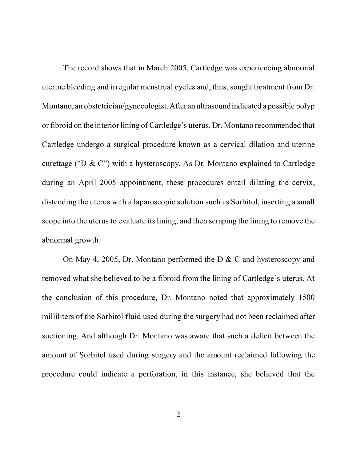The record shows that in March 2005, Cartledge was experiencing abnormal uterine bleeding and irregular menstrual cycles and, thus, sought treatment from Dr. Montano, an obstetrician/gynecologist.After an ultrasoundindicated a possible polyp or fibroid on the interior lining of Cartledge's uterus, Dr. Montano recommended that Cartledge undergo a surgical procedure known as a cervical dilation and uterine curettage ("D & C") with a hysteroscopy. As Dr. Montano explained to Cartledge during an April 2005 appointment, these procedures entail dilating the cervix, distending the uterus with a laparoscopic solution such as Sorbitol, inserting a small scope into the uterus to evaluate its lining, and then scraping the lining to remove the abnormal growth.

On May 4, 2005, Dr. Montano performed the D & C and hysteroscopy and removed what she believed to be a fibroid from the lining of Cartledge's uterus. At the conclusion of this procedure, Dr. Montano noted that approximately 1500 milliliters of the Sorbitol fluid used during the surgery had not been reclaimed after suctioning. And although Dr. Montano was aware that such a deficit between the amount of Sorbitol used during surgery and the amount reclaimed following the procedure could indicate a perforation, in this instance, she believed that the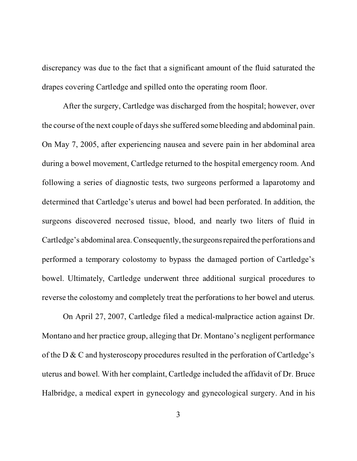discrepancy was due to the fact that a significant amount of the fluid saturated the drapes covering Cartledge and spilled onto the operating room floor.

After the surgery, Cartledge was discharged from the hospital; however, over the course of the next couple of days she suffered some bleeding and abdominal pain. On May 7, 2005, after experiencing nausea and severe pain in her abdominal area during a bowel movement, Cartledge returned to the hospital emergency room. And following a series of diagnostic tests, two surgeons performed a laparotomy and determined that Cartledge's uterus and bowel had been perforated. In addition, the surgeons discovered necrosed tissue, blood, and nearly two liters of fluid in Cartledge's abdominal area. Consequently, the surgeonsrepaired the perforations and performed a temporary colostomy to bypass the damaged portion of Cartledge's bowel. Ultimately, Cartledge underwent three additional surgical procedures to reverse the colostomy and completely treat the perforations to her bowel and uterus.

On April 27, 2007, Cartledge filed a medical-malpractice action against Dr. Montano and her practice group, alleging that Dr. Montano's negligent performance of the D & C and hysteroscopy procedures resulted in the perforation of Cartledge's uterus and bowel. With her complaint, Cartledge included the affidavit of Dr. Bruce Halbridge, a medical expert in gynecology and gynecological surgery. And in his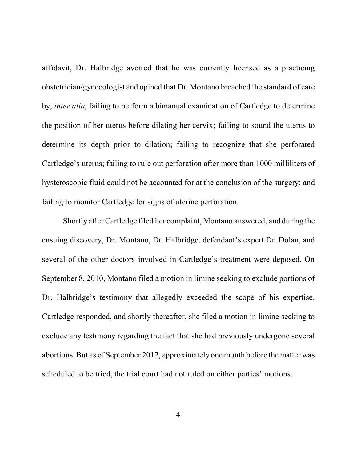affidavit, Dr. Halbridge averred that he was currently licensed as a practicing obstetrician/gynecologist and opined that Dr. Montano breached the standard of care by, *inter alia*, failing to perform a bimanual examination of Cartledge to determine the position of her uterus before dilating her cervix; failing to sound the uterus to determine its depth prior to dilation; failing to recognize that she perforated Cartledge's uterus; failing to rule out perforation after more than 1000 milliliters of hysteroscopic fluid could not be accounted for at the conclusion of the surgery; and failing to monitor Cartledge for signs of uterine perforation.

Shortly after Cartledge filed her complaint, Montano answered, and during the ensuing discovery, Dr. Montano, Dr. Halbridge, defendant's expert Dr. Dolan, and several of the other doctors involved in Cartledge's treatment were deposed. On September 8, 2010, Montano filed a motion in limine seeking to exclude portions of Dr. Halbridge's testimony that allegedly exceeded the scope of his expertise. Cartledge responded, and shortly thereafter, she filed a motion in limine seeking to exclude any testimony regarding the fact that she had previously undergone several abortions. But as of September 2012, approximately one month before the matter was scheduled to be tried, the trial court had not ruled on either parties' motions.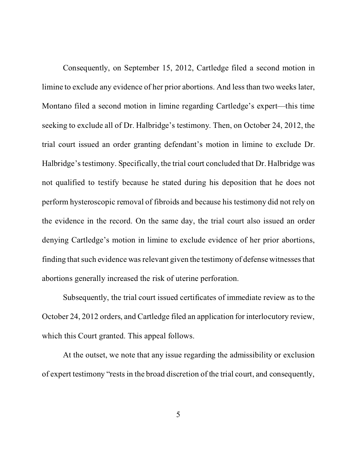Consequently, on September 15, 2012, Cartledge filed a second motion in limine to exclude any evidence of her prior abortions. And less than two weeks later, Montano filed a second motion in limine regarding Cartledge's expert—this time seeking to exclude all of Dr. Halbridge's testimony. Then, on October 24, 2012, the trial court issued an order granting defendant's motion in limine to exclude Dr. Halbridge's testimony. Specifically, the trial court concluded that Dr. Halbridge was not qualified to testify because he stated during his deposition that he does not perform hysteroscopic removal of fibroids and because his testimony did not rely on the evidence in the record. On the same day, the trial court also issued an order denying Cartledge's motion in limine to exclude evidence of her prior abortions, finding that such evidence was relevant given the testimony of defense witnesses that abortions generally increased the risk of uterine perforation.

Subsequently, the trial court issued certificates of immediate review as to the October 24, 2012 orders, and Cartledge filed an application for interlocutory review, which this Court granted. This appeal follows.

At the outset, we note that any issue regarding the admissibility or exclusion of expert testimony "rests in the broad discretion of the trial court, and consequently,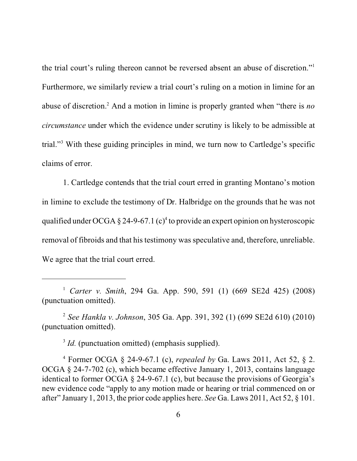the trial court's ruling thereon cannot be reversed absent an abuse of discretion."<sup>1</sup> Furthermore, we similarly review a trial court's ruling on a motion in limine for an abuse of discretion.<sup>2</sup> And a motion in limine is properly granted when "there is *no circumstance* under which the evidence under scrutiny is likely to be admissible at trial."<sup>3</sup> With these guiding principles in mind, we turn now to Cartledge's specific claims of error.

1. Cartledge contends that the trial court erred in granting Montano's motion in limine to exclude the testimony of Dr. Halbridge on the grounds that he was not qualified under OCGA  $\S 24$ -9-67.1 (c)<sup>4</sup> to provide an expert opinion on hysteroscopic removal of fibroids and that his testimony was speculative and, therefore, unreliable. We agree that the trial court erred.

2 *See Hankla v. Johnson*, 305 Ga. App. 391, 392 (1) (699 SE2d 610) (2010) (punctuation omitted).

<sup>3</sup> *Id.* (punctuation omitted) (emphasis supplied).

4 Former OCGA § 24-9-67.1 (c), *repealed by* Ga. Laws 2011, Act 52, § 2. OCGA § 24-7-702 (c), which became effective January 1, 2013, contains language identical to former OCGA  $\S$  24-9-67.1 (c), but because the provisions of Georgia's new evidence code "apply to any motion made or hearing or trial commenced on or after" January 1, 2013, the prior code applies here. *See* Ga. Laws 2011, Act 52, § 101.

<sup>1</sup> *Carter v. Smith*, 294 Ga. App. 590, 591 (1) (669 SE2d 425) (2008) (punctuation omitted).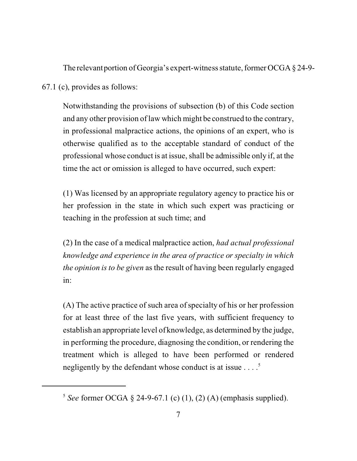The relevant portion of Georgia's expert-witness statute, former OCGA § 24-9-

67.1 (c), provides as follows:

Notwithstanding the provisions of subsection (b) of this Code section and any other provision of law which might be construed to the contrary, in professional malpractice actions, the opinions of an expert, who is otherwise qualified as to the acceptable standard of conduct of the professional whose conduct is at issue, shall be admissible only if, at the time the act or omission is alleged to have occurred, such expert:

(1) Was licensed by an appropriate regulatory agency to practice his or her profession in the state in which such expert was practicing or teaching in the profession at such time; and

(2) In the case of a medical malpractice action, *had actual professional knowledge and experience in the area of practice or specialty in which the opinion is to be given* as the result of having been regularly engaged in:

(A) The active practice of such area of specialty of his or her profession for at least three of the last five years, with sufficient frequency to establish an appropriate level of knowledge, as determined by the judge, in performing the procedure, diagnosing the condition, or rendering the treatment which is alleged to have been performed or rendered negligently by the defendant whose conduct is at issue  $\dots$ <sup>5</sup>

<sup>5</sup> *See* former OCGA § 24-9-67.1 (c) (1), (2) (A) (emphasis supplied).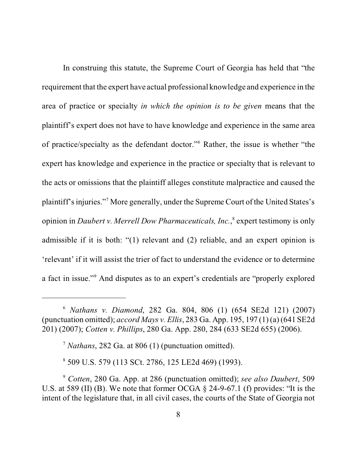In construing this statute, the Supreme Court of Georgia has held that "the requirement that the expert have actual professional knowledge and experience in the area of practice or specialty *in which the opinion is to be given* means that the plaintiff's expert does not have to have knowledge and experience in the same area of practice/specialty as the defendant doctor."<sup>6</sup> Rather, the issue is whether "the expert has knowledge and experience in the practice or specialty that is relevant to the acts or omissions that the plaintiff alleges constitute malpractice and caused the plaintiff's injuries."<sup>7</sup> More generally, under the Supreme Court of the United States's opinion in *Daubert v. Merrell Dow Pharmaceuticals, Inc.*,<sup>8</sup> expert testimony is only admissible if it is both: "(1) relevant and (2) reliable, and an expert opinion is 'relevant' if it will assist the trier of fact to understand the evidence or to determine a fact in issue."<sup>9</sup> And disputes as to an expert's credentials are "properly explored

8 509 U.S. 579 (113 SCt. 2786, 125 LE2d 469) (1993).

<sup>6</sup> *Nathans v. Diamond*, 282 Ga. 804, 806 (1) (654 SE2d 121) (2007) (punctuation omitted); *accord Mays v. Ellis*, 283 Ga. App. 195, 197 (1) (a) (641 SE2d 201) (2007); *Cotten v. Phillips*, 280 Ga. App. 280, 284 (633 SE2d 655) (2006).

<sup>7</sup> *Nathans*, 282 Ga. at 806 (1) (punctuation omitted).

<sup>9</sup> *Cotten*, 280 Ga. App. at 286 (punctuation omitted); *see also Daubert*, 509 U.S. at 589 (II) (B). We note that former OCGA § 24-9-67.1 (f) provides: "It is the intent of the legislature that, in all civil cases, the courts of the State of Georgia not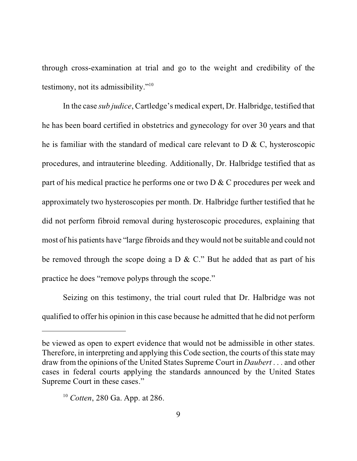through cross-examination at trial and go to the weight and credibility of the testimony, not its admissibility."<sup>10</sup>

In the case *sub judice*, Cartledge's medical expert, Dr. Halbridge, testified that he has been board certified in obstetrics and gynecology for over 30 years and that he is familiar with the standard of medical care relevant to D & C, hysteroscopic procedures, and intrauterine bleeding. Additionally, Dr. Halbridge testified that as part of his medical practice he performs one or two D & C procedures per week and approximately two hysteroscopies per month. Dr. Halbridge further testified that he did not perform fibroid removal during hysteroscopic procedures, explaining that most of his patients have "large fibroids and they would not be suitable and could not be removed through the scope doing a D & C." But he added that as part of his practice he does "remove polyps through the scope."

Seizing on this testimony, the trial court ruled that Dr. Halbridge was not qualified to offer his opinion in this case because he admitted that he did not perform

be viewed as open to expert evidence that would not be admissible in other states. Therefore, in interpreting and applying this Code section, the courts of this state may draw from the opinions of the United States Supreme Court in *Daubert* . . . and other cases in federal courts applying the standards announced by the United States Supreme Court in these cases."

<sup>10</sup> *Cotten*, 280 Ga. App. at 286.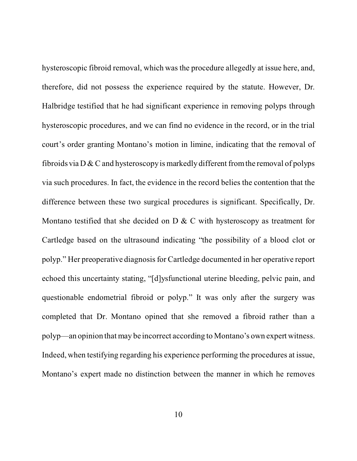hysteroscopic fibroid removal, which was the procedure allegedly at issue here, and, therefore, did not possess the experience required by the statute. However, Dr. Halbridge testified that he had significant experience in removing polyps through hysteroscopic procedures, and we can find no evidence in the record, or in the trial court's order granting Montano's motion in limine, indicating that the removal of fibroids via  $D & C$  and hysteroscopy is markedly different from the removal of polyps via such procedures. In fact, the evidence in the record belies the contention that the difference between these two surgical procedures is significant. Specifically, Dr. Montano testified that she decided on D & C with hysteroscopy as treatment for Cartledge based on the ultrasound indicating "the possibility of a blood clot or polyp." Her preoperative diagnosis for Cartledge documented in her operative report echoed this uncertainty stating, "[d]ysfunctional uterine bleeding, pelvic pain, and questionable endometrial fibroid or polyp." It was only after the surgery was completed that Dr. Montano opined that she removed a fibroid rather than a polyp—an opinion that may be incorrect according to Montano's own expert witness. Indeed, when testifying regarding his experience performing the procedures at issue, Montano's expert made no distinction between the manner in which he removes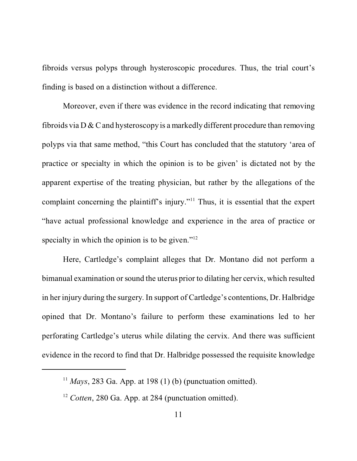fibroids versus polyps through hysteroscopic procedures. Thus, the trial court's finding is based on a distinction without a difference.

Moreover, even if there was evidence in the record indicating that removing fibroids via  $D \& C$  and hysteroscopy is a markedly different procedure than removing polyps via that same method, "this Court has concluded that the statutory 'area of practice or specialty in which the opinion is to be given' is dictated not by the apparent expertise of the treating physician, but rather by the allegations of the complaint concerning the plaintiff's injury."<sup>11</sup> Thus, it is essential that the expert "have actual professional knowledge and experience in the area of practice or specialty in which the opinion is to be given."<sup>12</sup>

Here, Cartledge's complaint alleges that Dr. Montano did not perform a bimanual examination or sound the uterus prior to dilating her cervix, which resulted in her injury during the surgery. In support of Cartledge's contentions, Dr. Halbridge opined that Dr. Montano's failure to perform these examinations led to her perforating Cartledge's uterus while dilating the cervix. And there was sufficient evidence in the record to find that Dr. Halbridge possessed the requisite knowledge

<sup>&</sup>lt;sup>11</sup> *Mays*, 283 Ga. App. at 198 (1) (b) (punctuation omitted).

<sup>&</sup>lt;sup>12</sup> *Cotten*, 280 Ga. App. at 284 (punctuation omitted).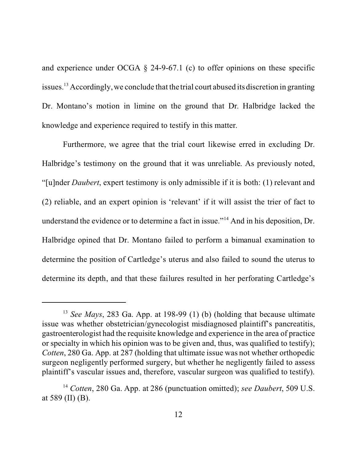and experience under OCGA § 24-9-67.1 (c) to offer opinions on these specific issues.<sup>13</sup> Accordingly, we conclude that the trial court abused its discretion in granting Dr. Montano's motion in limine on the ground that Dr. Halbridge lacked the knowledge and experience required to testify in this matter.

Furthermore, we agree that the trial court likewise erred in excluding Dr. Halbridge's testimony on the ground that it was unreliable. As previously noted, "[u]nder *Daubert*, expert testimony is only admissible if it is both: (1) relevant and (2) reliable, and an expert opinion is 'relevant' if it will assist the trier of fact to understand the evidence or to determine a fact in issue."<sup>14</sup> And in his deposition, Dr. Halbridge opined that Dr. Montano failed to perform a bimanual examination to determine the position of Cartledge's uterus and also failed to sound the uterus to determine its depth, and that these failures resulted in her perforating Cartledge's

<sup>&</sup>lt;sup>13</sup> *See Mays*, 283 Ga. App. at 198-99 (1) (b) (holding that because ultimate issue was whether obstetrician/gynecologist misdiagnosed plaintiff's pancreatitis, gastroenterologist had the requisite knowledge and experience in the area of practice or specialty in which his opinion was to be given and, thus, was qualified to testify); *Cotten*, 280 Ga. App. at 287 (holding that ultimate issue was not whether orthopedic surgeon negligently performed surgery, but whether he negligently failed to assess plaintiff's vascular issues and, therefore, vascular surgeon was qualified to testify).

<sup>14</sup> *Cotten*, 280 Ga. App. at 286 (punctuation omitted); *see Daubert*, 509 U.S. at 589 (II)  $(B)$ .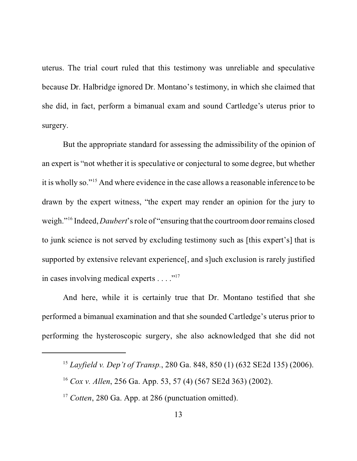uterus. The trial court ruled that this testimony was unreliable and speculative because Dr. Halbridge ignored Dr. Montano's testimony, in which she claimed that she did, in fact, perform a bimanual exam and sound Cartledge's uterus prior to surgery.

But the appropriate standard for assessing the admissibility of the opinion of an expert is "not whether it is speculative or conjectural to some degree, but whether it is wholly so."<sup>15</sup> And where evidence in the case allows a reasonable inference to be drawn by the expert witness, "the expert may render an opinion for the jury to weigh."<sup>16</sup> Indeed, *Daubert*'s role of "ensuring that the courtroom door remains closed to junk science is not served by excluding testimony such as [this expert's] that is supported by extensive relevant experience[, and s]uch exclusion is rarely justified in cases involving medical experts  $\dots$ ."<sup>17</sup>

And here, while it is certainly true that Dr. Montano testified that she performed a bimanual examination and that she sounded Cartledge's uterus prior to performing the hysteroscopic surgery, she also acknowledged that she did not

<sup>15</sup> *Layfield v. Dep't of Transp.*, 280 Ga. 848, 850 (1) (632 SE2d 135) (2006).

<sup>16</sup> *Cox v. Allen*, 256 Ga. App. 53, 57 (4) (567 SE2d 363) (2002).

<sup>&</sup>lt;sup>17</sup> *Cotten*, 280 Ga. App. at 286 (punctuation omitted).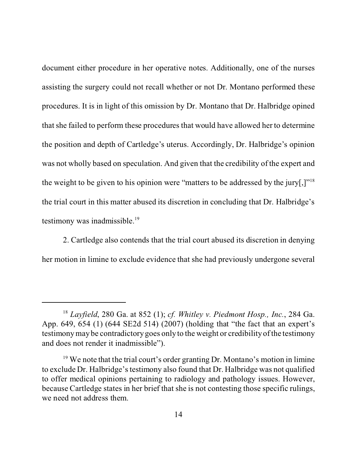document either procedure in her operative notes. Additionally, one of the nurses assisting the surgery could not recall whether or not Dr. Montano performed these procedures. It is in light of this omission by Dr. Montano that Dr. Halbridge opined that she failed to perform these procedures that would have allowed her to determine the position and depth of Cartledge's uterus. Accordingly, Dr. Halbridge's opinion was not wholly based on speculation. And given that the credibility of the expert and the weight to be given to his opinion were "matters to be addressed by the jury[,]"<sup>18</sup> the trial court in this matter abused its discretion in concluding that Dr. Halbridge's testimony was inadmissible.<sup>19</sup>

2. Cartledge also contends that the trial court abused its discretion in denying her motion in limine to exclude evidence that she had previously undergone several

<sup>18</sup> *Layfield*, 280 Ga. at 852 (1); *cf. Whitley v. Piedmont Hosp., Inc.*, 284 Ga. App. 649, 654 (1) (644 SE2d 514) (2007) (holding that "the fact that an expert's testimony may be contradictory goes only to the weight or credibility of the testimony and does not render it inadmissible").

 $19$  We note that the trial court's order granting Dr. Montano's motion in limine to exclude Dr. Halbridge's testimony also found that Dr. Halbridge was not qualified to offer medical opinions pertaining to radiology and pathology issues. However, because Cartledge states in her brief that she is not contesting those specific rulings, we need not address them.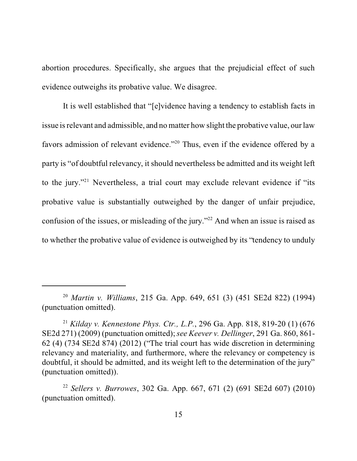abortion procedures. Specifically, she argues that the prejudicial effect of such evidence outweighs its probative value. We disagree.

It is well established that "[e]vidence having a tendency to establish facts in issue is relevant and admissible, and no matter how slight the probative value, our law favors admission of relevant evidence."<sup>20</sup> Thus, even if the evidence offered by a party is "of doubtful relevancy, it should nevertheless be admitted and its weight left to the jury."<sup>21</sup> Nevertheless, a trial court may exclude relevant evidence if "its probative value is substantially outweighed by the danger of unfair prejudice, confusion of the issues, or misleading of the jury."<sup>22</sup> And when an issue is raised as to whether the probative value of evidence is outweighed by its "tendency to unduly

<sup>20</sup> *Martin v. Williams*, 215 Ga. App. 649, 651 (3) (451 SE2d 822) (1994) (punctuation omitted).

<sup>21</sup> *Kilday v. Kennestone Phys. Ctr., L.P.*, 296 Ga. App. 818, 819-20 (1) (676 SE2d 271) (2009) (punctuation omitted); *see Keever v. Dellinger*, 291 Ga. 860, 861- 62 (4) (734 SE2d 874) (2012) ("The trial court has wide discretion in determining relevancy and materiality, and furthermore, where the relevancy or competency is doubtful, it should be admitted, and its weight left to the determination of the jury" (punctuation omitted)).

<sup>22</sup> *Sellers v. Burrowes*, 302 Ga. App. 667, 671 (2) (691 SE2d 607) (2010) (punctuation omitted).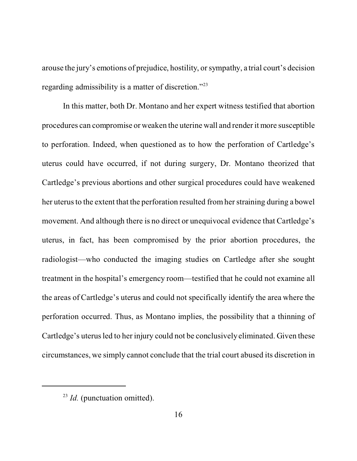arouse the jury's emotions of prejudice, hostility, or sympathy, a trial court's decision regarding admissibility is a matter of discretion."<sup>23</sup>

In this matter, both Dr. Montano and her expert witness testified that abortion procedures can compromise or weaken the uterine wall and render it more susceptible to perforation. Indeed, when questioned as to how the perforation of Cartledge's uterus could have occurred, if not during surgery, Dr. Montano theorized that Cartledge's previous abortions and other surgical procedures could have weakened her uterus to the extent that the perforation resulted from her straining during a bowel movement. And although there is no direct or unequivocal evidence that Cartledge's uterus, in fact, has been compromised by the prior abortion procedures, the radiologist—who conducted the imaging studies on Cartledge after she sought treatment in the hospital's emergency room—testified that he could not examine all the areas of Cartledge's uterus and could not specifically identify the area where the perforation occurred. Thus, as Montano implies, the possibility that a thinning of Cartledge's uterus led to her injury could not be conclusively eliminated. Given these circumstances, we simply cannot conclude that the trial court abused its discretion in

<sup>&</sup>lt;sup>23</sup> *Id.* (punctuation omitted).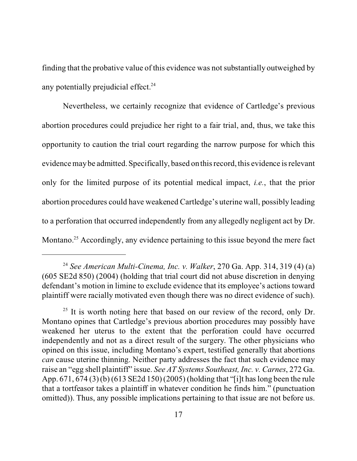finding that the probative value of this evidence was not substantially outweighed by any potentially prejudicial effect. $24$ 

Nevertheless, we certainly recognize that evidence of Cartledge's previous abortion procedures could prejudice her right to a fair trial, and, thus, we take this opportunity to caution the trial court regarding the narrow purpose for which this evidence may be admitted. Specifically, based on this record, this evidence is relevant only for the limited purpose of its potential medical impact, *i.e.*, that the prior abortion procedures could have weakened Cartledge's uterine wall, possibly leading to a perforation that occurred independently from any allegedly negligent act by Dr. Montano.<sup>25</sup> Accordingly, any evidence pertaining to this issue beyond the mere fact

<sup>24</sup> *See American Multi-Cinema, Inc. v. Walker*, 270 Ga. App. 314, 319 (4) (a) (605 SE2d 850) (2004) (holding that trial court did not abuse discretion in denying defendant's motion in limine to exclude evidence that its employee's actions toward plaintiff were racially motivated even though there was no direct evidence of such).

 $25$  It is worth noting here that based on our review of the record, only Dr. Montano opines that Cartledge's previous abortion procedures may possibly have weakened her uterus to the extent that the perforation could have occurred independently and not as a direct result of the surgery. The other physicians who opined on this issue, including Montano's expert, testified generally that abortions *can* cause uterine thinning. Neither party addresses the fact that such evidence may raise an "egg shell plaintiff" issue. *See AT Systems Southeast, Inc. v. Carnes*, 272 Ga. App. 671, 674 (3) (b) (613 SE2d 150) (2005) (holding that "[i]t has long been the rule that a tortfeasor takes a plaintiff in whatever condition he finds him." (punctuation omitted)). Thus, any possible implications pertaining to that issue are not before us.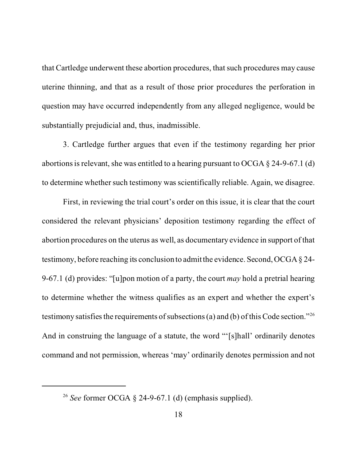that Cartledge underwent these abortion procedures, that such procedures may cause uterine thinning, and that as a result of those prior procedures the perforation in question may have occurred independently from any alleged negligence, would be substantially prejudicial and, thus, inadmissible.

3. Cartledge further argues that even if the testimony regarding her prior abortions is relevant, she was entitled to a hearing pursuant to OCGA § 24-9-67.1 (d) to determine whether such testimony was scientifically reliable. Again, we disagree.

First, in reviewing the trial court's order on this issue, it is clear that the court considered the relevant physicians' deposition testimony regarding the effect of abortion procedures on the uterus as well, as documentary evidence in support of that testimony, before reaching its conclusion to admit the evidence. Second, OCGA § 24- 9-67.1 (d) provides: "[u]pon motion of a party, the court *may* hold a pretrial hearing to determine whether the witness qualifies as an expert and whether the expert's testimony satisfies the requirements of subsections (a) and (b) of this Code section."<sup>26</sup> And in construing the language of a statute, the word "'[s]hall' ordinarily denotes command and not permission, whereas 'may' ordinarily denotes permission and not

<sup>26</sup> *See* former OCGA § 24-9-67.1 (d) (emphasis supplied).